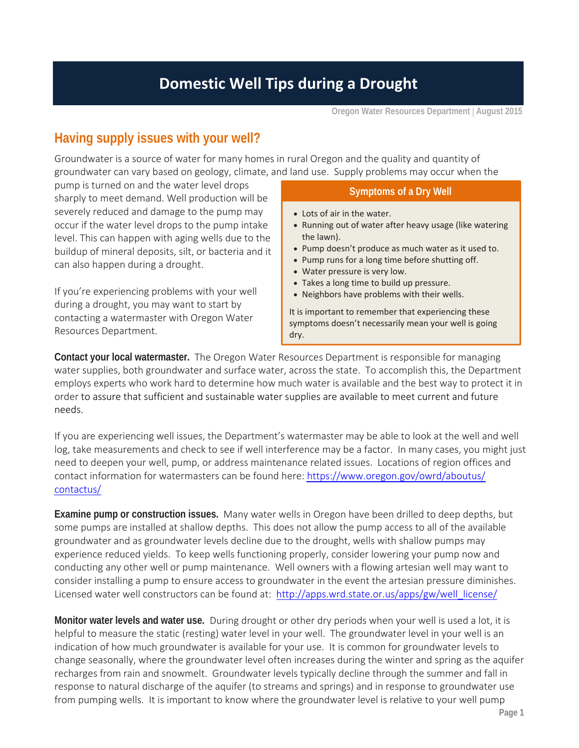**Oregon Water Resources Department August 2015** 

## **Having supply issues with your well?**

 Groundwater is a source of water for many homes in rural Oregon and the quality and quantity of groundwater can vary based on geology, climate, and land use. Supply problems may occur when the

 pump is turned on and the water level drops sharply to meet demand. Well production will be severely reduced and damage to the pump may occur if the water level drops to the pump intake level. This can happen with aging wells due to the buildup of mineral deposits, silt, or bacteria and it can also happen during a drought.

 If you're experiencing problems with your well during a drought, you may want to start by contacting a watermaster with Oregon Water Resources Department.

## **Symptoms of a Dry Well**

- Lots of air in the water.
- Running out of water after heavy usage (like watering the lawn).
- Pump doesn't produce as much water as it used to.
- Pump runs for a long time before shutting off.
- Water pressure is very low.
- Takes a long time to build up pressure.
- Neighbors have problems with their wells.

 It is important to remember that experiencing these symptoms doesn't necessarily mean your well is going dry.

 **Contact your local watermaster.** The Oregon Water Resources Department is responsible for managing water supplies, both groundwater and surface water, across the state. To accomplish this, the Department employs experts who work hard to determine how much water is available and the best way to protect it in order to assure that sufficient and sustainable water supplies are available to meet current and future needs.

 If you are experiencing well issues, the Department's watermaster may be able to look at the well and well log, take measurements and check to see if well interference may be a factor. In many cases, you might just need to deepen your well, pump, or address maintenance related issues. Locations of region offices and contact information for watermasters can be found here: https[://www.oregon.gov/owrd/](www.oregon.gov/owrd/aboutus/contactus/Pages/RegionalOfficesandWatermastersDirectory)aboutus/ contactus/

 **Examine pump or construction issues.** Many water wells in Oregon have been drilled to deep depths, but some pumps are installed at shallow depths. This does not allow the pump access to all of the available groundwater and as groundwater levels decline due to the drought, wells with shallow pumps may experience reduced yields. To keep wells functioning properly, consider lowering your pump now and conducting any other well or pump maintenance. Well owners with a flowing artesian well may want to consider installing a pump to ensure access to groundwater in the event the artesian pressure diminishes. Licensed water well constructors can be found at: http://apps.wrd.state.or.us/apps/gw/well\_license/

 **Monitor water levels and water use.** During drought or other dry periods when your well is used a lot, it is helpful to measure the static (resting) water level in your well. The groundwater level in your well is an indication of how much groundwater is available for your use. It is common for groundwater levels to change seasonally, where the groundwater level often increases during the winter and spring as the aquifer recharges from rain and snowmelt. Groundwater levels typically decline through the summer and fall in response to natural discharge of the aquifer (to streams and springs) and in response to groundwater use from pumping wells. It is important to know where the groundwater level is relative to your well pump